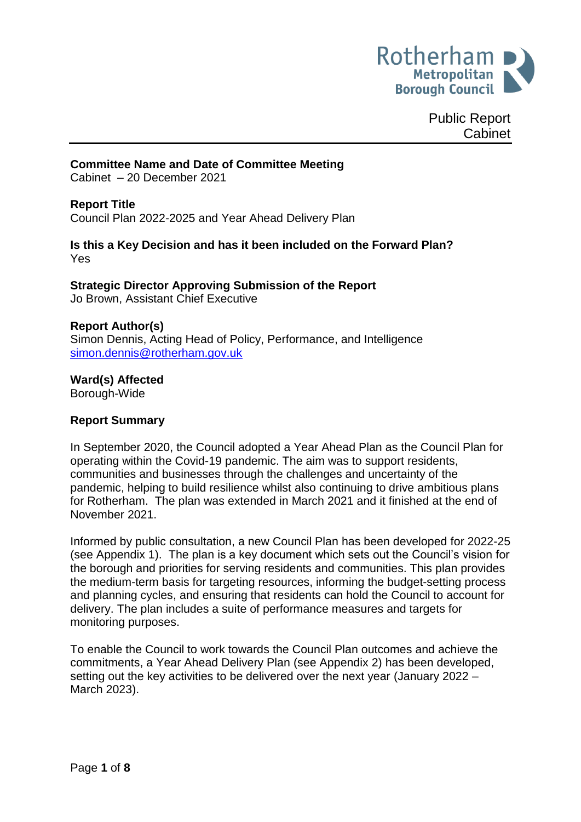

Public Report Cabinet

## **Committee Name and Date of Committee Meeting**

Cabinet – 20 December 2021

#### **Report Title**

Council Plan 2022-2025 and Year Ahead Delivery Plan

#### **Is this a Key Decision and has it been included on the Forward Plan?** Yes

# **Strategic Director Approving Submission of the Report**

Jo Brown, Assistant Chief Executive

#### **Report Author(s)**

Simon Dennis, Acting Head of Policy, Performance, and Intelligence [simon.dennis@rotherham.gov.uk](mailto:simon.dennis@rotherham.gov.uk)

#### **Ward(s) Affected**

Borough-Wide

#### **Report Summary**

In September 2020, the Council adopted a Year Ahead Plan as the Council Plan for operating within the Covid-19 pandemic. The aim was to support residents, communities and businesses through the challenges and uncertainty of the pandemic, helping to build resilience whilst also continuing to drive ambitious plans for Rotherham. The plan was extended in March 2021 and it finished at the end of November 2021.

Informed by public consultation, a new Council Plan has been developed for 2022-25 (see Appendix 1). The plan is a key document which sets out the Council's vision for the borough and priorities for serving residents and communities. This plan provides the medium-term basis for targeting resources, informing the budget-setting process and planning cycles, and ensuring that residents can hold the Council to account for delivery. The plan includes a suite of performance measures and targets for monitoring purposes.

To enable the Council to work towards the Council Plan outcomes and achieve the commitments, a Year Ahead Delivery Plan (see Appendix 2) has been developed, setting out the key activities to be delivered over the next year (January 2022 – March 2023).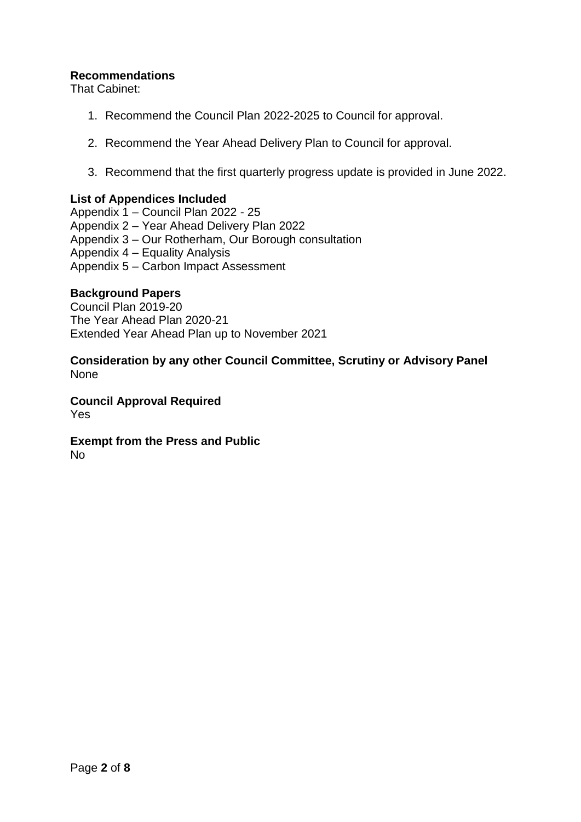## **Recommendations**

That Cabinet:

- 1. Recommend the Council Plan 2022-2025 to Council for approval.
- 2. Recommend the Year Ahead Delivery Plan to Council for approval.
- 3. Recommend that the first quarterly progress update is provided in June 2022.

#### **List of Appendices Included**

Appendix 1 – Council Plan 2022 - 25 Appendix 2 – Year Ahead Delivery Plan 2022 Appendix 3 – Our Rotherham, Our Borough consultation Appendix 4 – Equality Analysis Appendix 5 – Carbon Impact Assessment

#### **Background Papers**

Council Plan 2019-20 The Year Ahead Plan 2020-21 Extended Year Ahead Plan up to November 2021

#### **Consideration by any other Council Committee, Scrutiny or Advisory Panel** None

**Council Approval Required** Yes

# **Exempt from the Press and Public**

No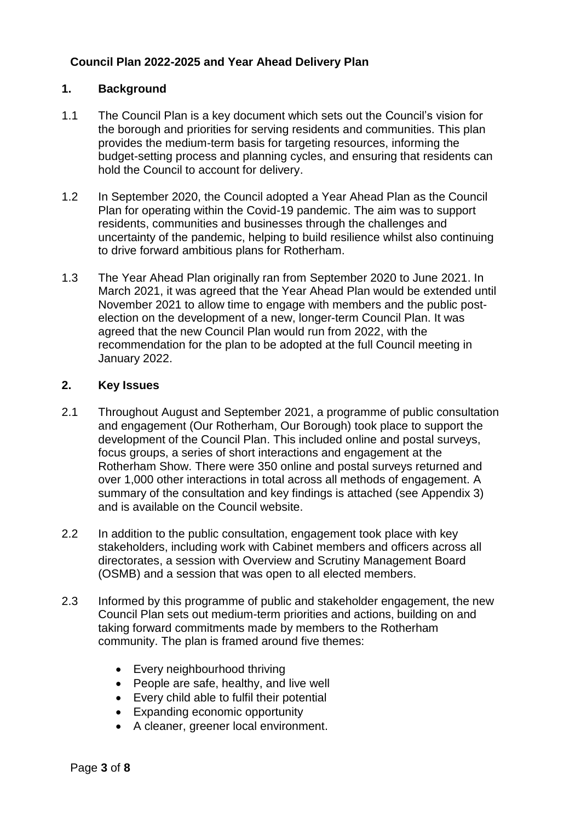# **Council Plan 2022-2025 and Year Ahead Delivery Plan**

## **1. Background**

- 1.1 The Council Plan is a key document which sets out the Council's vision for the borough and priorities for serving residents and communities. This plan provides the medium-term basis for targeting resources, informing the budget-setting process and planning cycles, and ensuring that residents can hold the Council to account for delivery.
- 1.2 In September 2020, the Council adopted a Year Ahead Plan as the Council Plan for operating within the Covid-19 pandemic. The aim was to support residents, communities and businesses through the challenges and uncertainty of the pandemic, helping to build resilience whilst also continuing to drive forward ambitious plans for Rotherham.
- 1.3 The Year Ahead Plan originally ran from September 2020 to June 2021. In March 2021, it was agreed that the Year Ahead Plan would be extended until November 2021 to allow time to engage with members and the public postelection on the development of a new, longer-term Council Plan. It was agreed that the new Council Plan would run from 2022, with the recommendation for the plan to be adopted at the full Council meeting in January 2022.

## **2. Key Issues**

- 2.1 Throughout August and September 2021, a programme of public consultation and engagement (Our Rotherham, Our Borough) took place to support the development of the Council Plan. This included online and postal surveys, focus groups, a series of short interactions and engagement at the Rotherham Show. There were 350 online and postal surveys returned and over 1,000 other interactions in total across all methods of engagement. A summary of the consultation and key findings is attached (see Appendix 3) and is available on the Council website.
- 2.2 In addition to the public consultation, engagement took place with key stakeholders, including work with Cabinet members and officers across all directorates, a session with Overview and Scrutiny Management Board (OSMB) and a session that was open to all elected members.
- 2.3 Informed by this programme of public and stakeholder engagement, the new Council Plan sets out medium-term priorities and actions, building on and taking forward commitments made by members to the Rotherham community. The plan is framed around five themes:
	- Every neighbourhood thriving
	- People are safe, healthy, and live well
	- Every child able to fulfil their potential
	- Expanding economic opportunity
	- A cleaner, greener local environment.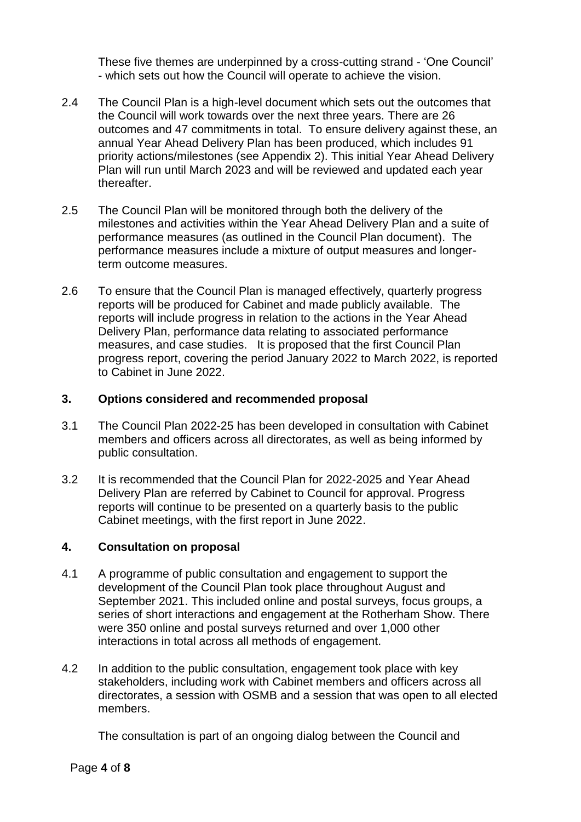These five themes are underpinned by a cross-cutting strand - 'One Council' - which sets out how the Council will operate to achieve the vision.

- 2.4 The Council Plan is a high-level document which sets out the outcomes that the Council will work towards over the next three years. There are 26 outcomes and 47 commitments in total. To ensure delivery against these, an annual Year Ahead Delivery Plan has been produced, which includes 91 priority actions/milestones (see Appendix 2). This initial Year Ahead Delivery Plan will run until March 2023 and will be reviewed and updated each year thereafter.
- 2.5 The Council Plan will be monitored through both the delivery of the milestones and activities within the Year Ahead Delivery Plan and a suite of performance measures (as outlined in the Council Plan document). The performance measures include a mixture of output measures and longerterm outcome measures.
- 2.6 To ensure that the Council Plan is managed effectively, quarterly progress reports will be produced for Cabinet and made publicly available. The reports will include progress in relation to the actions in the Year Ahead Delivery Plan, performance data relating to associated performance measures, and case studies. It is proposed that the first Council Plan progress report, covering the period January 2022 to March 2022, is reported to Cabinet in June 2022.

## **3. Options considered and recommended proposal**

- 3.1 The Council Plan 2022-25 has been developed in consultation with Cabinet members and officers across all directorates, as well as being informed by public consultation.
- 3.2 It is recommended that the Council Plan for 2022-2025 and Year Ahead Delivery Plan are referred by Cabinet to Council for approval. Progress reports will continue to be presented on a quarterly basis to the public Cabinet meetings, with the first report in June 2022.

# **4. Consultation on proposal**

- 4.1 A programme of public consultation and engagement to support the development of the Council Plan took place throughout August and September 2021. This included online and postal surveys, focus groups, a series of short interactions and engagement at the Rotherham Show. There were 350 online and postal surveys returned and over 1,000 other interactions in total across all methods of engagement.
- 4.2 In addition to the public consultation, engagement took place with key stakeholders, including work with Cabinet members and officers across all directorates, a session with OSMB and a session that was open to all elected members.

The consultation is part of an ongoing dialog between the Council and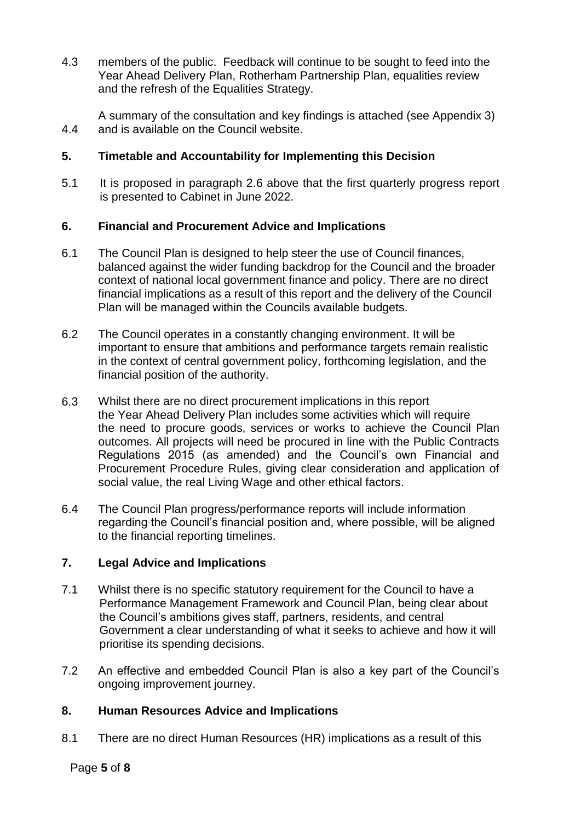4.3 members of the public. Feedback will continue to be sought to feed into the Year Ahead Delivery Plan, Rotherham Partnership Plan, equalities review and the refresh of the Equalities Strategy.

4.4 A summary of the consultation and key findings is attached (see Appendix 3) and is available on the Council website.

# **5. Timetable and Accountability for Implementing this Decision**

5.1 It is proposed in paragraph 2.6 above that the first quarterly progress report is presented to Cabinet in June 2022.

# **6. Financial and Procurement Advice and Implications**

- 6.1 The Council Plan is designed to help steer the use of Council finances, balanced against the wider funding backdrop for the Council and the broader context of national local government finance and policy. There are no direct financial implications as a result of this report and the delivery of the Council Plan will be managed within the Councils available budgets.
- 6.2 The Council operates in a constantly changing environment. It will be important to ensure that ambitions and performance targets remain realistic in the context of central government policy, forthcoming legislation, and the financial position of the authority.
- 6.3 Whilst there are no direct procurement implications in this report the Year Ahead Delivery Plan includes some activities which will require the need to procure goods, services or works to achieve the Council Plan outcomes. All projects will need be procured in line with the Public Contracts Regulations 2015 (as amended) and the Council's own Financial and Procurement Procedure Rules, giving clear consideration and application of social value, the real Living Wage and other ethical factors.
- 6.4 The Council Plan progress/performance reports will include information regarding the Council's financial position and, where possible, will be aligned to the financial reporting timelines.

# **7. Legal Advice and Implications**

- 7.1 Whilst there is no specific statutory requirement for the Council to have a Performance Management Framework and Council Plan, being clear about the Council's ambitions gives staff, partners, residents, and central Government a clear understanding of what it seeks to achieve and how it will prioritise its spending decisions.
- 7.2 An effective and embedded Council Plan is also a key part of the Council's ongoing improvement journey.

# **8. Human Resources Advice and Implications**

8.1 There are no direct Human Resources (HR) implications as a result of this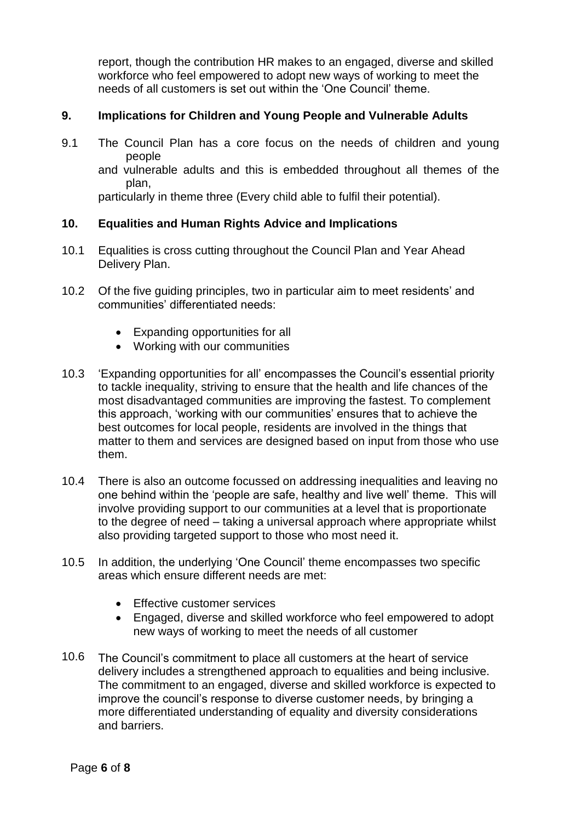report, though the contribution HR makes to an engaged, diverse and skilled workforce who feel empowered to adopt new ways of working to meet the needs of all customers is set out within the 'One Council' theme.

## **9. Implications for Children and Young People and Vulnerable Adults**

9.1 The Council Plan has a core focus on the needs of children and young people

and vulnerable adults and this is embedded throughout all themes of the plan,

particularly in theme three (Every child able to fulfil their potential).

#### **10. Equalities and Human Rights Advice and Implications**

- 10.1 Equalities is cross cutting throughout the Council Plan and Year Ahead Delivery Plan.
- 10.2 Of the five guiding principles, two in particular aim to meet residents' and communities' differentiated needs:
	- Expanding opportunities for all
	- Working with our communities
- 10.3 'Expanding opportunities for all' encompasses the Council's essential priority to tackle inequality, striving to ensure that the health and life chances of the most disadvantaged communities are improving the fastest. To complement this approach, 'working with our communities' ensures that to achieve the best outcomes for local people, residents are involved in the things that matter to them and services are designed based on input from those who use them.
- 10.4 There is also an outcome focussed on addressing inequalities and leaving no one behind within the 'people are safe, healthy and live well' theme. This will involve providing support to our communities at a level that is proportionate to the degree of need – taking a universal approach where appropriate whilst also providing targeted support to those who most need it.
- 10.5 In addition, the underlying 'One Council' theme encompasses two specific areas which ensure different needs are met:
	- **Effective customer services**
	- Engaged, diverse and skilled workforce who feel empowered to adopt new ways of working to meet the needs of all customer
- 10.6 The Council's commitment to place all customers at the heart of service delivery includes a strengthened approach to equalities and being inclusive. The commitment to an engaged, diverse and skilled workforce is expected to improve the council's response to diverse customer needs, by bringing a more differentiated understanding of equality and diversity considerations and barriers.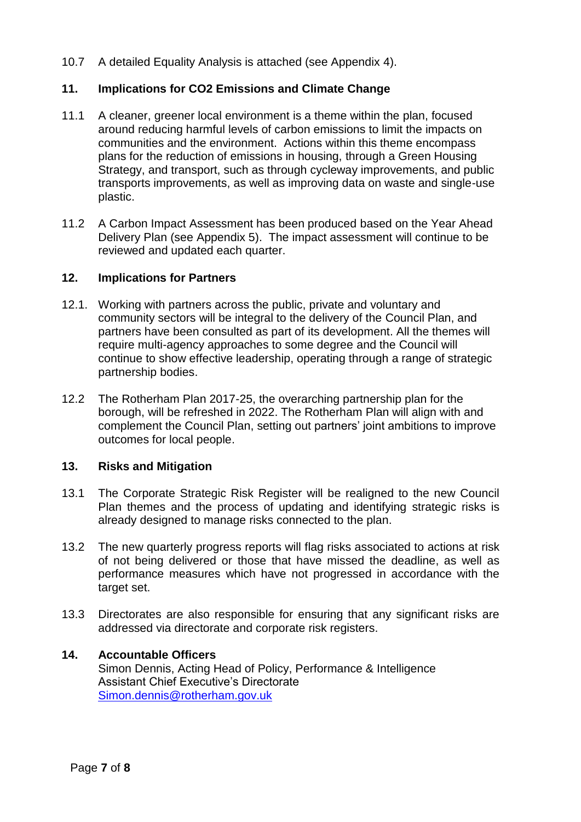10.7 A detailed Equality Analysis is attached (see Appendix 4).

## **11. Implications for CO2 Emissions and Climate Change**

- 11.1 A cleaner, greener local environment is a theme within the plan, focused around reducing harmful levels of carbon emissions to limit the impacts on communities and the environment. Actions within this theme encompass plans for the reduction of emissions in housing, through a Green Housing Strategy, and transport, such as through cycleway improvements, and public transports improvements, as well as improving data on waste and single-use plastic.
- 11.2 A Carbon Impact Assessment has been produced based on the Year Ahead Delivery Plan (see Appendix 5). The impact assessment will continue to be reviewed and updated each quarter.

#### **12. Implications for Partners**

- 12.1. Working with partners across the public, private and voluntary and community sectors will be integral to the delivery of the Council Plan, and partners have been consulted as part of its development. All the themes will require multi-agency approaches to some degree and the Council will continue to show effective leadership, operating through a range of strategic partnership bodies.
- 12.2 The Rotherham Plan 2017-25, the overarching partnership plan for the borough, will be refreshed in 2022. The Rotherham Plan will align with and complement the Council Plan, setting out partners' joint ambitions to improve outcomes for local people.

#### **13. Risks and Mitigation**

- 13.1 The Corporate Strategic Risk Register will be realigned to the new Council Plan themes and the process of updating and identifying strategic risks is already designed to manage risks connected to the plan.
- 13.2 The new quarterly progress reports will flag risks associated to actions at risk of not being delivered or those that have missed the deadline, as well as performance measures which have not progressed in accordance with the target set.
- 13.3 Directorates are also responsible for ensuring that any significant risks are addressed via directorate and corporate risk registers.

#### **14. Accountable Officers**

Simon Dennis, Acting Head of Policy, Performance & Intelligence Assistant Chief Executive's Directorate [Simon.dennis@rotherham.gov.uk](mailto:Simon.dennis@rotherham.gov.uk)